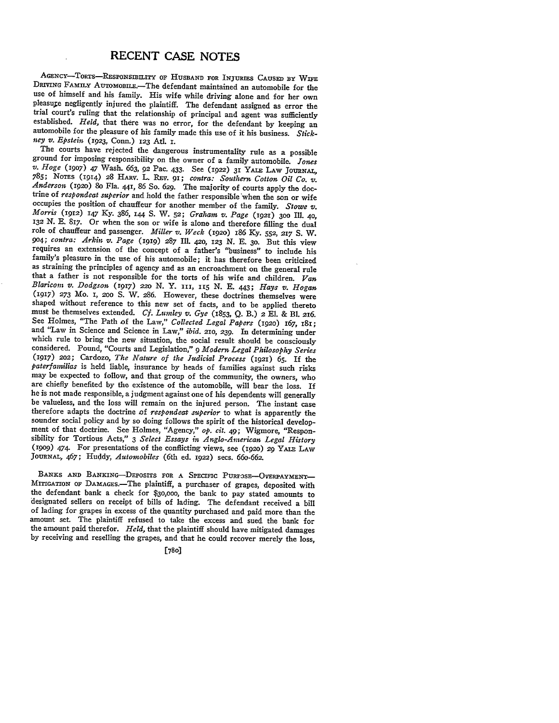AGENCY-TORTS-RESPONSIBILITY OF HUSBAND FOR INJURIES CAUSED BY WIFE<br>DRIVING FAMILY AUTOMOBILE.-The defendant maintained an automobile for the use of himself and his family. His wife while driving alone and for her own pleasure negligently injured the plaintiff. The defendant assigned as error the trial court's ruling that the relationship of principal and agent was sufficiently established. *Held*, that there was no error, for the defendant by keeping an automobile for the pleasure of his family made this use of it *ney v. Epstein (1923,* Conn.) **123 Atl. I.**

ground for imposing responsibility on the owner of a family automobile. Jones v. Hoge (1907) 47 Wash. 663, 92 Pac. 433. See (1922) 31 YALE LAW JOURNAL. **785; NOTES** (1914) **28** HARV. L. REv. **91;** *contra: Southern Cotton Oil Co. v. Anderson* **(192o)** 8o Fla. 441, **86** So. 629. The majority of courts apply the doctrine of *respondeat superior* and hold the father responsible when the son or wife occupies the position of chauffeur for another member of the family. Stowe v. Morris (1912) 147 Ky. 386, 144 S. W. 52; Graham v. Page (1921) 300 Ill. 40, 132 N. E. 817. Or when the son or wife is alone and therefore filling the dual role of chauffeur and passenger. *Miller v. Weck* **(192o) 186** *Ky.* **552, 217 S.** W. *9o4; contra: Arkin v. Page* (1919) **287** Ill. 420, **123** *N.* E. **30.** But this view requires an extension of the concept of a father's "business" to include his family's pleasure in the use of his automobile; it has therefore been criticized as straining the principles of agency and as an encroachment on the general rule that a father is not responsible for the torts **of** his wife and children. *Van Blaricom v. Dodgson* (1917) *220* **N.** Y. *III, I5* **N. E.** 443; *Hays v. Hogan* (1917) **273** Mo. *I,* **200 S.** W. 286. However, these doctrines themselves were shaped without reference to this new set of facts, and to be applied thereto must be themselves extended. *Cf. Lumley v. Gye* (1853, Q. B.)  $2$  El. & Bl. 216. See Holmes, "The Path of the Law," Collected Legal Papers (1920) 167, 181; and "Law in Science and Science in Law," *ibid.* 210, 239. In determining under which rule to bring the new situation, the social result should be consciously considered. Pound, "Courts and Legislation," 9 *Modern Legal Philosophy Series* (1917) **202;** Cardozo, *The Nature of the Judicial Process* (1921) **65. If** the *paterfamilias* is held liable, insurance **by** heads of families against such risks may be expected to follow, and that group of the community, the owners, who are chiefly benefited **by** the existence of the automobile, will bear the loss. If he is not made responsible, a judgment against one of his dependents will generally<br>be valueless, and the loss will remain on the injured person. The instant case<br>therefore adapts the doctrine of *respondent suberior* to w sounder social policy and by so doing follows the spirit of the historical development of that doctrine. See Holmes, "Agency," *op. cit.* 49; Wigmore, "Responsibility for Tortious Acts," 3 Select Essays in Anglo-American **JOURNAL,** 467; Huddy, *Automobiles* (6th ed. 1922) secs. *66o-662.*

BANKS AND BANKING-DEPOSITS FOR A SPECIFIC PURFOSE-OVERPAYMENT-MITIGATION OF DAMAGES.-The plaintiff, a purchaser of grapes, deposited with the defendant bank a check for \$30,000, the bank to pay stated amounts to designated sellers on receipt of bills of lading. The defendant received a bill of lading for grapes in excess of the quantity purchased and paid more than the amount set. The plaintiff refused to take the excess and sued the bank for the amount paid therefor. *Held,* that the plaintiff should have mitigated damages by receiving and reselling the grapes, and that he could recover merely the loss,

**[780]**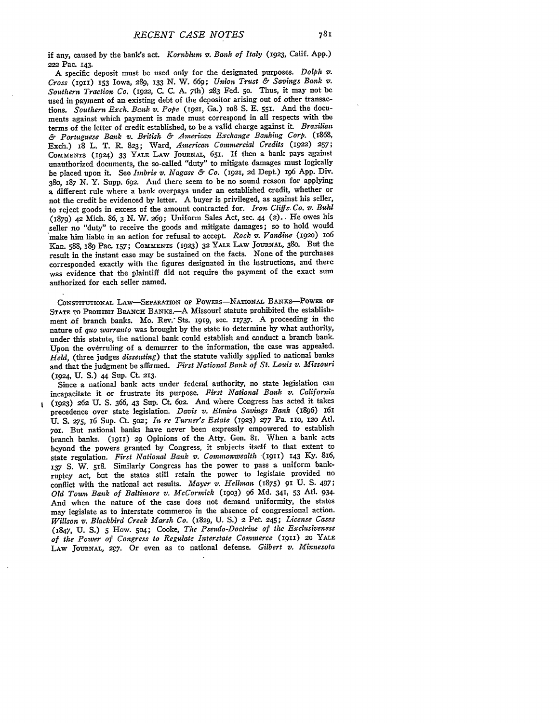if any, caused **by** the bank's act. *Kornblum v. Bank of Italy* **(1923,** Calif. **App.)** 222 Pac. 143.

A specific deposit must be used only for the designated purposes. *Dolph v. Cross* (1911) **153** Iowa, *289,* **133** N. W. *669; Union Trust & Savings Bank v. Southern Traction Co.* **(1922,** C. C. A. 7th) **283** Fed. 5o. Thus, it may not be used in payment of an existing debt of the depositor arising out of other transactions. *Southern Exch. Bank v. Pope* (1921, Ga.) 108 S. E. 551. And the documents against which payment is made must correspond in all respects with the terms of the letter of credit established, to be a valid charge against it. *Brazilian & Portuguese Bank v. British & American Exchange Banking Corp.* (1868, Exch.) 18 L. T. R. 823; Ward, *American Commercial Credits* **(1922) 257; COMMENTS** (1924) **33** YALE LAW **JouRNAL.,** 651. If then a bank pays against unauthorized documents, the so-called "duty" to mitigate damages must logically be placed upon it. See *Imbrie v. Nagae & Co.* **(1921, 2d** Dept.) 196 App. Div. 38o, 187 N. Y. Supp. 692. And there seem to be no sound reason for applying a different rule where a bank overpays under an established credit, whether or not the credit be evidenced by letter. A buyer is privileged, as against his seller, to reject goods in excess of the amount contracted for. *Iron Cliffs. Co. v. Buld* (1879) 42 Mich. 86, 3 N. W. 269; Uniform Sales Act, sec. 44 (2).. He owes his seller no "duty" to receive the goods and mitigate damages; so to hold would make him liable in an action for refusal to accept *Rock v. Vandine* (1920) io6 Kan. 588, 189 Pac. 157; **COMMENTS (1923) 32** YALE LAW JoURNAL, 380. But the result in the instant case may be sustained on the facts. None of the purchases corresponded exactly with the figures designated in the instructions, and there was evidence that the plaintiff did not require the payment of the exact sum authorized for each seller named.

CONSTITUTIONAL LAW-SEPARATION OF POWERS-NATIONAL BANKS-POWER OF **STATE** TO PROHIBIT BRANcH BANKs.-A Missouri statute prohibited the establishment of branch banks. Mo. Rev. Sts. **1919,** sec. 11737. A proceeding in the nature of *quo warranto* was brought by the state to determine by what authority, under this statute, the national bank could establish and conduct a branch bank. Upon the overruling of a demurrer to the information, the case was appealed. *Held,* (three judges *dissenting)* that the statute validly applied to national banks and that the judgment be affirmed. *First National Bank of St. Louis v. Missouri* (1924, **U. S.)** 44 Sup. Ct. **213.**

Since a national bank acts under federal authority, no state legislation can incapacitate it or frustrate its purpose. *First National Bank v. California* (1923) **262** U. **S. 366,** 43 Sup. Ct. 6o2. And where Congress has acted it takes precedence over state legislation. *Davis v. Elmira Savings Bank* (1896) **<sup>161</sup> U. S. 275, 16 Sup. Ct. 502;** *In re Turner's Estate* **(1923) 277 Pa. 110, 120 Atl. 70r.** But national banks have never been expressly empowered to establish branch banks. (1911) 29 Opinions of the Atty. Gen. 81. When a bank acts beyond the powers granted **by** Congress, it subjects itself to that extent to state regulation. *First National Bank v. Commonwealth* (i9iI) **143 Ky.** 816, **137 S.** W. **518.** Similarly Congress has the power to pass a uniform bankruptcy act, but the states still retain the power to legislate provided no conflict with the national act results. *Mayer v. Hellman* (1875) 91 U. S. 497; *Old Town Bank of Baltimore v. McCormick* **(19o3) 96 Md.** 341, **53** At. 934. And when the nature of the case does not demand uniformity, the states may legislate as to interstate commerce in the absence of congressional action. *Willson v. Blackbird Creek Marsh Co.* (1829, **U. S.)** 2 Pet. **245;** *License Cases* (1847, **U.** *S.)* 5 How. **504;** Cooke, *The Pseudo-Doctrine of the Exclusiveness of the Power of Congress to Regulate Interstate Commerce* (19ii) **20** YALE LAw **JOURNAL, 2g7.** Or even as to national defense. *Gilbert v. Minnesota*

Ĩ.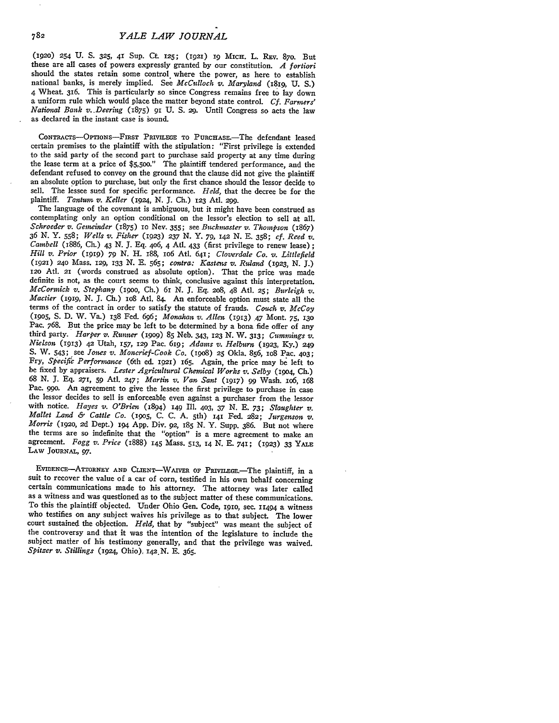**(1920)** 254 U. **S. 325,** 41 Sup. Ct 125; (I92I) ig MicH. L. REV. 87o. But these are all cases of powers expressly granted by our constitution. *A fortiori* should the states retain some control. where the power, as here to establish national banks, is merely implied. See *McCulloch v. Maryland* (18ig, U. S.) 4 Wheat 316. This is particularly so since Congress remains free to lay down a uniform rule which would place the matter beyond state control. *Cf. Farmers' National Bank v. Deering* (1875) 91 U. S. 29. Until Congress so acts the law as declared in the instant case is sound.

CONTRACTS-OPTIONS-FIRST PRIVILEGE TO PURCHASE.-The defendant leased certain premises to the plaintiff with the stipulation: "First privilege is extended to the said party of the second part to purchase said property at any time during the lease term at a price of \$5,500." The plaintiff tendered performance, and the defendant refused to convey on the ground that the clause did not give the plaintiff an absolute option to purchase, but only the first chance should the lessor decide to sell. The lessee sued for specific performance. *Held,* that the decree be for the plaintiff. *Tantum v. Keller* (1924, N. J. Ch.) 123 Atl. 299.

The language of the covenant is ambiguous, but it might have been construed as contemplating only an option conditional on the lessor's election to sell at all. *Schroeder v. Gemeinder* (1875) IO Nev. 355; see *Buckmaster v. Thompson* (1867) *36 N.* **Y. 558;** *Wells v. Fisher* (1923) **237** *N.* **Y. 79,** 142 **N. E.** 358; *cf. Reed* **v.** *Cambell* (x886, **CIL)** 43 *N.* **J.** Eq. 4o6, 4 Atl. 433 (first privilege to renew lease) **;** *Hill v. Prior* (1919) *79 N.* H. 188, io6 Atl. 641; *Cloverdale Co. v. Littlefield* (1921) 24o Mass. 129, 133 *N.* E. 565; *contra: Kastens v. Ruland* (1923, *N.* **J.) 12o** Atl. 21 (words construed as absolute option). That the price was made definite is not, as the court seems to think, conclusive against this interpretation. *McCormick v. Stephany* (igoo, Ch.) **61** *N.* **J.** Eq. 208, 48 Atl. **25;** *Burleigh v. Mactier* **(i919,** *N.* **J.** Ch.) io8 At. 84. An enforceable option must state all the terms of the contract in order to satisfy the statute of frauds. *Couch v. McCoy* (1905, S. D. W. Va.) 138 Fed. *696; Monahan v. Allen* (1913) 47 Mont. **75, 130** Pac. 768. But the price may be left to be determined by a bona fide offer of any third party. *Harper v. Runner* **(19o9) 85** Neb. 343, 123 **N.** W. 313; *Cummings v. Nielson* (1913) 42 Utah, 157, 129 Pac. 61g; *Adams v. Helburn* (1923, Ky.) **<sup>249</sup> S.** W. 543; see *Jones v. Moncrief-Cook Co.* (19o8) **25** Okla. **856,** io8 Pac. **403;** Fry, *Specific Performance* (6th ed. *1921)* 65. Again, the price may be left to be fixed by appraisers. *Lester Agricultural Chemical Works v. Selby* **(19o4,** Ch.) 68 *N.* **J. Eq.** 271, *59* Atl. 247; *Martin v. Van Sant* (1917) 99 Wash. io6, 168 Pac. **990.** An agreement to give the lessee the first privilege to purchase in case the lessor decides to sell is enforceable even against a purchaser from the lessor with notice. *Hayes v. O'Brien* (1894) **149** Ill. **403,** *37 N.* **E.** 73; *Slaughter v. Mallet Land & Cattle Co.* (9o5, **C. C. A.** 5th) **141** Fed. **282;** *Jurgenson V. Morris* (i92o, 2d Dept.) **194** App. Div. 92, **185 N.** Y. Supp. 386. But not where the terms are so indefinite that the "option" is a mere agreement to make an agreement. *Fogg v. Price* (1888) **145** Mass. 513, **14** *N.* **E.** 741; **(1923)** 33 **YALE** LAW **JOURNAL,** *97.*

EVIDENcE-ATTORNEY **AND** CLIENT-WAvER OF PaiviLEE.-The plaintiff, in a suit to recover the value of a car of corn, testified in his own behalf concerning certain communications made to his attorney. The attorney was later called as a witness and was questioned as to the subject matter of these communications. To this the plaintiff objected. Under Ohio Gen. Code, igio, sec. **11494** a witness who testifies on any subject waives his privilege as to that subject. The lower court sustained the objection. *Held,* that **by** "subject" was meant the subject of the controversy and that it was the intention of the legislature to include the subject matter of his testimony generally, and that the privilege was waived. *Spitzer v. Stillings* (1924, Ohio), i42N. **E.** 365.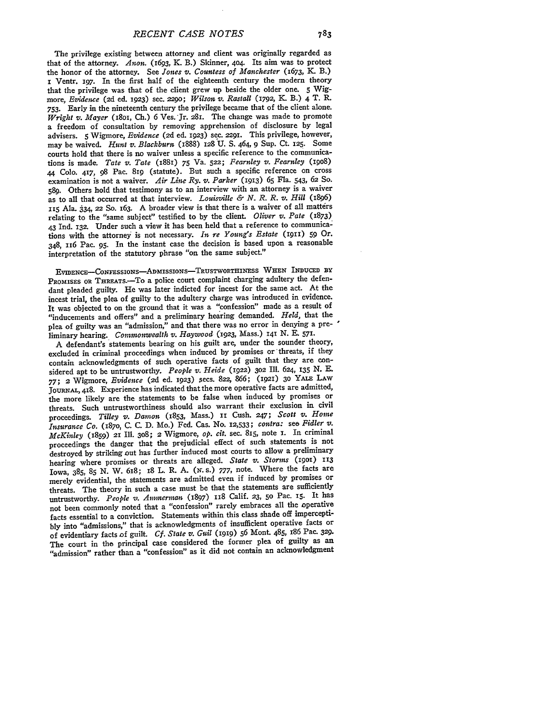The privilege existing between attorney and client was originally regarded as that of the attorney. *Anon.* (1693, K. B.) Skinner, 404. Its aim was to protect the honor of the attorney. See *Jones v. Countess of Manchester* (1673, K. B.) i Ventr. I97. In the first half of the eighteenth century the modern theory that the privilege was that of the client grew up beside the older one. **5** Wigmore, *Evidence* (2d ed. 1923) sec. 2290; *Wilson v. Rastall* (1792, K. B.) 4 T. R. 753. Early in the nineteenth century the privilege became that of the client alone. Wright v. Mayer (1801, Ch.) 6 Ves. Jr. 281. The change was made to promote a freedom of consultation **by** removing apprehension of disclosure **by** legal advisers. **5** Wigmore, *Evidence (2d* ed. **1923)** sec. 2291. This privilege, however, may be waived. *Hunt v. Blackburn* (1888) 128 U. **S.** 464, **9** Sup. Ct. 125. Some courts hold that there is no waiver unless a specific reference to the communications is made. *Tate v. Tate* (188) **75** Va. **522;** *Fearnley v. Fearnley (i9o8)* **44 Colo.** 417, **98** Pac. **8ig** (statute). But such a specific reference on cross examination is not a waiver. *Air Line Ry. v. Parker (I913)* **65** Fla. 543, **62** So. **589.** Others hold that testimony as to an interview with an attorney is a waiver as to all that occurred at that interview. *Louisville & N. R. R. v. Hill* (i8g6) **II5** Ala. **334,** 22 **So.** 163. A broader view is that there is a waiver of all matters relating to the "same subject" testified to **by** the client. *Oliver v. Pate* (1873) *43* Ind. **132.** Under such a view it has been held that a reference to communications with the attorney is not necessary. *In re Young's Estate* (1911) **59** Or. 348, **116** Pac. **95.** In the instant case the decision is based upon a reasonable interpretation of the statutory phrase "on the same subject."

**EviDENCE-CoNFESsIoNs-ADmISSIoN5S-TRUSTWORTHINESS WHEN INDUCED BY** PROMISES OR THREATS.<sup>-T</sup>O a police court complaint charging adultery the defendant pleaded guilty. He was later indicted for incest for the same act. At the incest trial, the plea of guilty to the adultery charge was introduced in evidence. It was objected to on the ground that it was a "confession" made as a result of "inducements and offers" and a preliminary hearing demanded. *Held,* that the plea of guilty was an "admission," and that there was no error in denying a preliminary hearing. *Commonwealth v. Haywood* (1923, Mass.) 141 N. **E. 571.**

A defendant's statements bearing on his guilt are, under the sounder theory, excluded in criminal proceedings when induced **by** promises or threats, if they contain acknowledgments of such operative facts of guilt that they are considered apt to be untrustworthy. *People v. Heide* (1922) **3o2** Ill. 624, **135** *N.* **E. 77; 2** Wigmore, *Evidence (2d* ed. **1923)** secs. **822,** 866; **(1921) 30** YALE **LAw JOURNAI,** 418. Experience has indicated that the more operative facts are admitted, the more likely are the statements to be false when induced **by** promises or threats. Such untrustworthiness should also warrant their exclusion in civil proceedings. *Tilley v. Damon* (1853, Mass.) **ii** Cush. **247;** *Scott v. Home Insurance Co.* (187o, C. C. D. Mo.) Fed. Cas. No. **12,533;** *contra:* see *Fidler v. McKinley* (1859) 21 Ill. **308;** 2 Wigmore, *op. cit.* sec. 815, note **i.** In criminal proceedings the danger that the prejudicial effect of such statements is not destroyed by striking out has further induced most courts to allow a preliminary hearing where promises or threats are alleged. *State v. Storms* **(1901) 113** Iowa, 385, **85 N.** W. 618; 18 L. R. A. *(x.* s.) 777, note. Where the facts are merely evidential, the statements are admitted even if induced by promises or threats. The theory in such a case must be that the statements are sufficiently untrustworthy. *People v. Anmerman* (1897) ix8 Calif. **23, 50** Pac. Is. It has not been commonly noted that a "confession" rarely embraces all the operative facts essential to a conviction. Statements within this class shade **off** impercepti**bly** into "admissions," that is acknowledgments of insufficient operative facts or of evidentiary facts of guilt. *Cf. State v. Guil* **(1919) 56** Mont. 485, 186 Pac. **329.** The court in the principal case considered the former plea of guilty as an "admission" rather than a "confession" as it did not contain an acknowledgment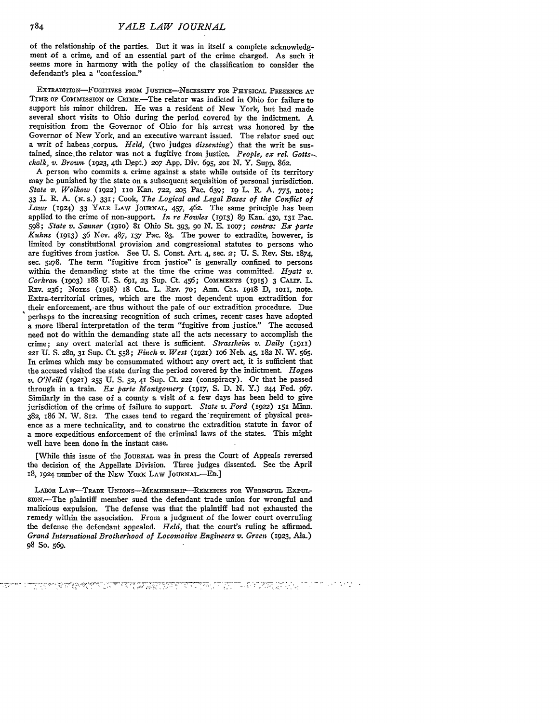of the relationship of the parties. But it was in itself a complete acknowledgment of a crime, and of an essential part of the crime charged. As such it seems more in harmony with the policy of the classification to consider the defendant's plea a "confession."

EXTRADITION-FUGITIVES **FROM** JUSTIcE-NECESSITY **FOR** PHYSICAL **PRESENCE AT** TIME OF COMMISSION OF CRIME.<sup>-The</sup> relator was indicted in Ohio for failure to support his minor children. He was a resident of New York, but had made several short visits to Ohio during the period covered **by** the indictment. A requisition from the Governor of Ohio for his arrest was honored **by** the Governor of New York, and an executive warrant issued. The relator sued out a writ of habeas .corpus. *Held,* (two judges *dissenting)* that the writ be sustained, since the relator was not a fugitive from justice. *People, ex rel. Gotts--*. *chalk, v. Brown.* (1923, 4th D.ept.) **207** App. Div. 695, 2Ol **N.** Y. Supp. 862.

**A** person who commits a crime against a state while outside of its territory may be punished by the state on a subsequent acquisition of personal jurisdiction. *State* v. *Wolkow* (1922) **1no** Kan. **722, 205** Pac. 639; **19** L. R. A. 775, note; **33** L. *R.* A. *(N.* s.) **331;** Cook, *The Logical and Legal Bases of the Conflict of Laws* (1924) **33** YALE LAW **JOURNAL,** 457, 462. The same principle has been applied to the crime of non-support. *In re Fowles* **(1913) 89** Kan.'430, **131** Pac. 598; *State* v. *Sanner* **(191o)** 81 Ohio St. 393, **90** N. E. ioo7; *contra: Ex* parte *Kuhns* **(1913) 36** Nev. 487, **137** Pac. **83.** The power to extradite, however, is limited by constitutional provision and congressional statutes to persons who are fugitives from justice. See U. S. Const. Art. 4, sec. 2; U. S. Rev. Sts. 1874, sec. 5278. The term "fugitive from justice" is generally confined to persons within the demanding state at the time the crime was committed. *Hyatt v. Corkran* **(19o3)** 188 **U. S.** 691, **23** Sup. Ct. 456; COMMENTS **(I915)** 3 **CAuIF.** L. REv. 236; NOTES (igi8) 18 COL. L. REV. **70;** Ann. Cas. 1918 D, io11, note. Extra-territorial crimes, which are the most dependent upon extradition for their enforcement, are thus without the pale of our extradition procedure. Due perhaps to the increasing recognition of such crimes, recent cases have adopted a more liberal interpretation of the term "fugitive from justice." The accused need **not** do within the demanding state all the acts necessary to accomplish the crime; any overt material act there is sufficient. *Strssheim* v. *Daily* **(1911)** 221 U. **S.** 280, **31** Sup. Ct. **558;** *Finch* v. *West* (1921) io6 Neb. 45, **182** N. W. **565.** In crimes which may **be** consummated without any overt act, it is sufficient that the accused visited the state during the period covered by the indictment. *Hogan v. O'Neill* (1921) **255** U. **S. 52,** 41 Sup. Ct. *222* (conspiracy). Or that he passed through in a train. *Ex parte Montgomery* **(1917, S.** D. **N.** Y.) 244 Fed. 967. Similarly in the case of a county a visit of a few days has been held to give jurisdiction of the crime of failure to support. State v. Ford (1922) 151 Minn. 382, 186 N. W. 812. The cases tend to regard the requirement of physical presence as a mere technicality, and to construe the extradition statute in favor of a more expeditious enforcement of the criminal laws of the states. This might well have been done in the instant case.

[While this issue of the **JOURNAL** was in press the Court of Appeals reversed the decision of the Appellate Division. Three judges dissented. See the April 18, 1924 number of the NEW YORK LAW JOURNAL.-ED.]

LABOR LAw-TRADE UNIONS-MEMBERSHIP-REMEDIES **FOR** WRONGFUL ExPULsioN.-The plaintiff member sued the defendant trade union for wrongful and malicious expulsion. The defense was that the plaintiff **had** not exhausted the remedy within the association. From a judgment of the lower court overruling the defense the defendant appealed. *Held,* that the court's ruling be affirmed. *Grand International Brotherhood of Locomoive Engineers* **v.** *Green* (1923, Ala.) **g8** So. **569.**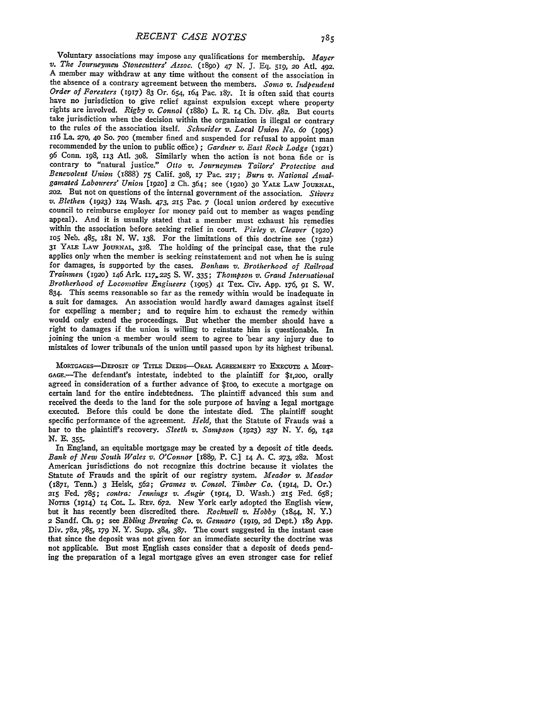Voluntary associations may impose any qualifications for membership. *Mayer v. The Journeymen Stonecutters' Assoc.* (1890) 47 N. J. Eq. 519, 20 Atl. 492. **A** member may withdraw at any time without the consent of the association in the absence of a contrary agreement between the members. *Somo v. Indpendent Order of Foresters* **(1917) 83** Or. 654, 164 Pac. 187. It is often said that courts have no jurisdiction to give relief against expulsion except where property rights are involved. *Rigby v. Connol* (i88o) L. R. **14 Ch.** Div. 482. But courts take jurisdiction when the decision within the organization is illegal or contrary to the rules of the association itself. *Schneider v. Local Union No. 6o (19o5)* I16 La. *27o,* **40 So.** *700* (member fined and suspended for refusal to appoint man recommended **by** the union to public office) **;** *Gardner v. East Rock Lodge* (1921) *96* Conn. 198, 113 **Atl. 308.** Similarly when the action is not bona fide or is contrary to "natural justice." *Otto v. Journeymen Tailors' Protective and Benevolent Union* (1888) 75 Calif. 308, **17** Pac. 217; *Burn v. National Amalgamated Labourers' Union* **[192o]** 2 Ch. 364; see **(192o)** 3o **YALE** LAW JOURNAL, 2o2. But not on questions of the internal government *,of* the association. *Stivers v. Blethen* (1923) **124** Wash. 473, **215** Pac. 7 (local union ordered by executive council to reimburse employer for money paid out to member as wages pending appeal). And it is usually stated that a member must exhaust his remedies within the association before seeking relief in court. *Pixley v. Cleaver (1920)* **1O5** Neb. 485, 181 **N.** W. 138. For the limitations of this doctrine see (1922) 31 YALE LAW **JOURNAL, 328.** The holding of the principal case, that the rule applies only when the member is seeking reinstatement and not when he is suing for damages, is supported by the cases. *Bonham v. Brotherhood of Railroad Trainmen* **(192o)** 146 Ark. 117,225 **S.** W. **335;** *Thompson v. Grand International Brotherhood of Locomotive Engineers (195o)* 41 Tex. Civ. **App.** 176, 91 *S.* W. 834. This seems reasonable so far as the remedy within would be inadequate in a suit for damages. An association would hardly award damages against itself for expelling a member; and to require him to exhaust the remedy within would only extend the proceedings. But whether the member should have a right to damages if the union is willing to reinstate him is questionable. In joining the union -a member would seem to agree to 'bear any injury due to mistakes of lower tribunals of the union until passed upon by its highest tribunal.

**MORTGAGES-DEPOSIT OF** TITLE **DEEDs-ORAL AGREEMENT TO EXECUTE A MORT-**GAGE.-The defendant's intestate, indebted to the plaintiff for **\$1,2oo,** orally agreed in consideration of a further advance of \$IOO, to execute a mortgage on certain land for the entire indebtedness. The plaintiff advanced this sum and received the deeds to the land for the sole purpose of having a legal mortgage executed. Before this could be done the intestate died. The plaintiff sought specific performance of the agreement. *Held*, that the Statute of Frauds was a bar to the plaintiff's recovery. *Sleeth v. Sampson* (1923) **237 N.** Y. *69, i42* **N. E. 355.**

In England, an equitable mortgage may be created **by** a deposit of title deeds. *Bank of New South Wales v. O'Connor* [1889, P. **C.]** 14 **A. C. 273, 282.** Most American jurisdictions do not recognize this doctrine because it violates the Statute of Frauds and the spirit of our registry system. *Meador v. Meador* (1871, Tenn.) **3** Heisk, **562;** *Graines v. Consol. Timber Co.* **(1914, D.** Or.) **215** Fed. **785;** *contra: Jennings v. Augir* (1914, **D.** Wash.) 215 Fed. **658; NoTEs** (1914) 14 CoL L. REv. **672.** New York early adopted the English view, but it has recently been discredited there. *Rockwell v. Hobby (1844,* **N.** Y.) 2 Sandf. **Ch. 9;** see *Ebling Brewing Co. v. Gennaro* **(1919, 2d** Dept.) **189 App.** Div. **782, 785, 179 N.** Y. Supp. 384, **387.** The court suggested in the instant case that since the deposit was not given for an immediate security the doctrine was not applicable. But most English cases consider that a deposit of deeds pending the preparation of a legal mortgage gives an even stronger case for relief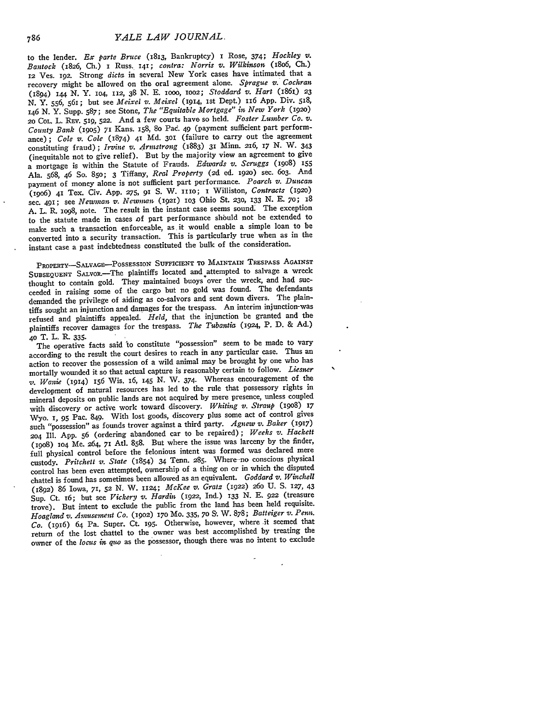to the lender. *Ex parte Bruce* (1813, Bankruptcy) **I** Rose, 374; *Hockley* v. *Bantock* (1826, **Ch.) I** Russ. 141; *contra: Norris v. Wilkinson (18o6,* **Ch.)** 12 Ves. 192. Strong *dicta* in several New York cases have intimated that a recovery might be allowed on the oral agreement alone. *Sprague v. Cochran* (1894) 144 *N.* Y. 1O4, 112, **38** N. E. IOOO, ioo2; *Stoddard v. Hart* (i86i.) **<sup>23</sup>** N. Y. **556,** 561; but see *Meixel* **v.** *Meixel* (1914, **1st** Dept.) 116 App. Div. 518, 146 N. Y. Supp. 587; see Stone, *The "Equitable Mortgage" in; New York* (1920) *<sup>20</sup>*CoL. L. REV. 519, **522.** And a few courts have so held. *Foster Lumber Co. v. County Bank* (9o5) **71** Kans. **I58,** 8o Pad. 49 (payment sufficient part performance) ; *Cole v. Cole* (1874) 41 **Md. 301** (failure to carry out the agreement constituting fraud); *Irvine v. Armstrong* (1883) **31** Minn. 216, **17** N. W. 343 (inequitable not to give relief). But by the majority view an agreement to give a mortgage is within the Statute of Frauds. *Edwards v. Scruggs* (i908) <sup>155</sup> Ala. 568, 46 So. 85o; 3 Tiffany, *Real Property* (2d ed. 1920) sec. **603.** And payment of money alone is not sufficient part performance. *Poarch v. Duncan* (i9o6) **41** Tex. Civ. App. **275,** 91 S. W. **1110; I** Williston, *Contracts* (i92o) sec. 491; see *Newman v. Newman* (Ig2i) **io3** Ohio St. **230, 133** N. E. 7o; <sup>18</sup> A. L. R. io98, note. The result in the instant case seems sound. The exception to the statute made in cases **Df** part performance shbuld not be extended to make such a transaction enforceable, as it would enable a simple loan to be converted into a security transaction. This is particularly true when as in the instant case a past indebtedness constituted the bulk of the consideration.

PROPERTY-SALvAGE-PoSSEsSION SUFFICIENT **TO** MAINTAIN TRESPASS AGAINST SUBSEQUENT SALVOR.<sup>-The</sup> plaintiffs located and attempted to salvage a wreck thought to contain gold. They maintained buoys over the wreck, and had succeeded in raising some of the cargo but no gold was found. The defendants demanded the privilege of aiding as co-salvors and sent down divers. The plaintiffs sought an injunction and damages for the trespass. An interim injunction-was refused and plaintiffs appealed. *Held,* that the injunction be granted and the plaintiffs recover damages for the trespass. Tle *Tubantia* (1924, P. D. **& Ad.) 40** T. L. R- **335.**

The operative facts said to constitute "possession" seem to be made to vary according to the result the court desires to reach in any particular case. Thus an action to recover the possession of a wild animal may be brought by one who has mortally wounded it so that actual capture is reasonably certain to follow. *Liesner v. Wanie* (1914) 156 Wis. 16, **145 N.** W. 374. Whereas encouragement of the development of natural resources has led to the rule that possessory rights in mineral deposits on public lands are not acquired **by** mere presence, unless coupled with discovery or active work toward discovery. Whiting v. Straup (1908) 17 *W-Yo.* **I, 95** Pac. 849. With lost goods, discovery plus some act of control gives such "possession" as founds trover against a third party. *Agnew v. Baker* **(1917) 204 Ill.** App. **56** (ordering abandoned car to be repaired); *Weeks v. Hackett* (9o8) **104** Me. 264, 71 Atl. **858.** But where the issue was larceny **by** the finder, full physical control before the felonious intent was formed was declared mere custody. *Pritchett v. State* (1854) 34 Tenn. 285. Where-no conscious physical control has been even attempted, ownership of a thing on or in which the disputed chattel is found has sometimes been allowed as an equivalent. *Goddard v. Winchell* **(1892)** 86 Iowa, **71, 52 N.** W. 1124; *McKee v. Gratz* **(1922)** *26o* U. **S.** 127, 43 Sup. Ct. 16; but see *Vickery v. Hardin* (1922, Ind.) 133 **N.** E. *922* (treasure trove). But intent to exclude the public from the land has been held requisite. *Hoagland v. Amusement Co.* (1902) **170** Mo. 335, **70 S.** W. 878; *Batteiger v. Penn. Co.* **(1916)** 64 Pa. Super. Ct. 195. Otherwise, however, where it seemed that return of the lost chattel to the owner was best accomplished by treating the owner of the *locus in quo* as the possessor, though there was no intent to exclude

786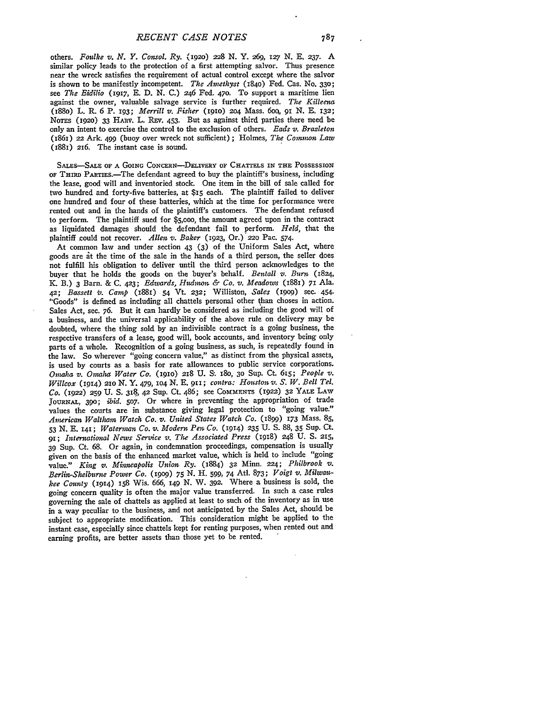others. *Foulke v. N. Y. Consol. Ry.* **(192o) "8 N.** Y. **269,** *127* **N. E. 237.** A similar policy leads to the protection of a first attempting salvor. Thus presence near the wreck satisfies the requirement of actual control except where the salvor is shown to be manifestly incompetent. *The Amethyst* **(1840)** Fed. Cas. No. **330;** see *The Eidilo* (1917, **E. D.** *N.* **C.)** 246 Fed. **47o.** To support a maritime lien against the owner, valuable salvage service is further required. *The Killeena* (188o) L. R **6** P. **193;** *Merrill v. Fisher* **(i9IO) 204** Mass. 6oq, *9I* **N. E. 132; NOTES (1920) 33 HARv.** L. REv. 453. But as against third parties there need be only an intent to exercise the control to the exclusion of others. *Bads v. Brazleton* (1861) 22 Ark *499* (buoy over wreck not sufficient) ; Holmes, *The Common Law* (i881) **216.** The instant case is sound.

SALES-SALE OF A GOING CONCERN--DELIVERY OF CHATTELS IN THE POSSESSION OF THIRD PARTIES.-The defendant agreed to buy the plaintiff's business, including the lease, good will and inventoried stock. One item in the bill of sale called for two hundred and forty-five batteries, at **\$15** each. The plaintiff failed to deliver one hundred and four of these batteries, which at the time for performance were rented out and in the hands of the plaintiff's customers. The defendant refused to perform. The plaintiff sued for **\$5,0oo,** the amount agreed upon in the contract as liquidated damages should the defendant fail to perform. *Held,* that the plaintiff could not recover. *Allen v. Baker* (1923, Or.) *22o* Pac. 574.

At common law and under section 43 (3) of the Uniform Sales Act, where goods are at the time of the sale in the hands of a third person, the seller does not fulfill his obligation to deliver until the third person acknowledges to the buyer that he holds the goods on the buyer's behalf. *Bentall v. Burn* (1824, I. B.) 3 Barn. & **C.** 423; *Edwards, Hudnwn & Co. v. Meadows* (18i) 71 Ala. *42; Bassett 2. Camp* (1881) 54 Vt. **232;** Williston, *Sales* (igo9) sec. 454. "Goods" is defined as including all chattels personal other than choses in action. Sales Act, sec. 76. But it can hardly be considered as including the good will of a business, and the universal applicability of the above rule on delivery may be doubted, where the thing sold by an indivisible contract is a going business, the respective transfers of a lease, good will, book accounts, and inventory being only parts of a whole. Recognition of a going business, as such, is repeatedly found in the law. So wherever "going concern value," as distinct from the physical assets, is used by courts as a basis for rate allowances to public service corporations. *Onuaha v. Omaha Water Co.* (IgIo) 218 **U. S.** 18o, **30** Sup. Ct. 615; *People v. Willcox* (1914) **21o N.** Y. 479, **1O4 N. E.** 911; *contra: Houston v. S. W. Bell Tel. Co.* (1922) **259 U. S. 318,** 42 Sup. Ct. 486; see **COMMENTS** (1922) **32** YALE **LAW JOURNAL, 390;** *ibid. 507.* Or where in preventing the appropriation of trade values the courts are in substance giving legal protection to "going value." *American Waltham Watch Co. v. United States Watch Co.* (1899) **173** Mass. *85,* 53 N. **E.** 141; *Waterman Co. v. Modern Pen Co.* (1914) **235** U. **S.** 88, **35** Sup. Ct. *91; Internationd News Se7vice v. The Associated Press* (IgI8) 248 U. **S. 215,** 39 Sup. Ct. 68. Or again, in condemnation proceedings, compensation is usually given on the basis of the enhanced market value, which is held to include "going value." *Kintg v. Minnwapolis Union Ry.* (1884) **32** Minn. **224;** *Philbrook v. Berlin-Shelburne Power Co.* **(1909) 75 N.** H. 599, 74 Atl. **873;** *Voigt v. Milwaukee County* (1914) **158** Wis. 666, **149 N.** W. **392.** Where a business is sold, the going concern quality is often the major value transferred. In such a case rules governing the sale of chattels as applied at least to such of the inventory as in use in a way peculiar to the business, and not anticipated by the Sales Act, should be subject to appropriate modification. This consideration **might** be applied to the instant case, especially since chattels kept for renting purposes, when rented out and earning profits, are better assets than those yet to be rented.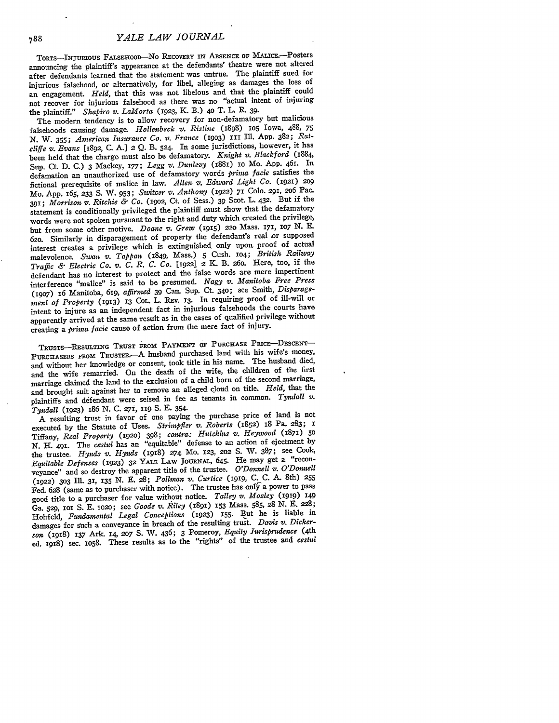TORTS-INJURIOUS FALSEHOOD-NO RECOVERY IN ABSENCE OF MALICE.--Posters announcing the plaintiff's appearance at the defendants' theatre were not altered after defendants learned that the statement was untrue. The plaintiff sued for injurious falsehood, or alternatively, for libel, alleging as damages the loss of an engagement. *Held,* that this was not libelous and that the plaintiff could not recover for injurious falsehood as there was no "actual intent of injuring the plaintiff." *Shapiro v. LaMorta* (1923, K. B.) 4o T. L. R. **39.**

The modern tendency is to allow recovery for non-defamatory but malicious falsehoods causing damage. *Hollenbeck v. Ristine* (1898) **105** Iowa, 488, **75** N. W. 355; *American Insurance Co. v. France* **(1903) I1 Ill.** App. 382; *Ratcliffe v. Evans* [1892, C. **A.]** 2 **Q.** B. **524.** In some jurisdictions, however, it has been held that the charge must also be defamatory. *Knight v. Blackford* (1884, Sup. Ct. **D. C.) 3** Mackey, **177;** *Legg v. Dunlevy* (i88i) io Mo. **App.** 461. In defamation an unauthorized use of defamatory words *prima facie* satisfies the fictional prerequisite of malice in law. *Allen v. Edward Light Co.* (1921) **<sup>209</sup>** Mo. App. *I65,* **233 S.** W. 953; *Switzer v. Anthony* (1922) 71 Colo. 291, 206 Pac. 391; *Morrison v. Ritchie & Co. (19o2,* Ct. of Sess.) **39** Scot. L. 432. But if the statement is conditionally privileged the plaintiff must show that the defamatory words were not spoken pursuant to the right and duty which created the privilege, but from some other motive. *Doane v. Grew* **(915) 220** Mass. 171, **io7 N.** E. **620.** Similarly in disparagement of property the defendant's real or supposed interest creates a privilege which is extinguished only upon proof of actual malevolence. *Swan v. Tappan* (1849, Mass.) **5** Cush. **104;** *British Railway Traffic & Electric Co. v. C. R. C. Co.* **[1922]** 2 K. B. **26o.** Here, too, if the defendant has no interest to protect and the false words are mere impertinent interference "malice" is said to be presumed. *Nagy v. Manitoba Free Press* (19o7) 16 Manitoba, 619, *affirmed* 39 Can. Sup. Ct. **340;** see Smith, *Disparage*ment of Property (1913) 13 Cor. L. REV. 13. In requiring proof of ill-will or intent to injure as an independent fact in injurious falsehoods the courts have apparently arrived at the same result as in the cases of qualified privilege without creating a *prima facie* cause of action from the mere fact of injury.

TRUSTS-REsULTNG TRUST FROM PAYMENT OF **PURCHASE PmicE-DEscENT-**PURCHASERS FROM TRUSTEE.-- A husband purchased land with his wife's money, and without her knowledge or consent, took title in his name. The husband died, and the wife remarried. On the death of the wife, the children of the first marriage claimed the land to the exclusion of a child born of the second marriage, and brought suit against her to remove an alleged cloud on title. *Held,* that the plaintiffs and defendant were seised in fee as tenants in common. *Tyndall v. Tyndall* (1923) 186 **N.** C. 27i, **119 S.** E. 354.

A resulting trust in favor of one paying the purchase price of land is not executed by the Statute of Uses. *Strimpfler v. Roberts* (1852) i8 Pa. 283; 1 Tiffany, *Real Property* **(1920)** 398; *contra: Hutchins v. Heywood* (1871) **5o** *N.* H. 491. The *cestui* has an "equitable" defense to an action of ejectment by the trustee. *Hynds v. Hynds* (1918) **274** MO. **123, 202** S. W. 387; see Cook, *Equitable Defenses* **(1923) 32** YA.E LAW JoURNAL., 645. He may get a "reconveyance" and so destroy the apparent title of the trustee. *O'Donnell v. O'Donnell* (1922) **303** Ill. **31,** 135 N. E. **28;** *Poll-man v. Curtice* **(1919,** C. C. A. 8th) **<sup>255</sup>** Fed. 628 (same as to purchaser with notice). The trustee has only a power to pass good title to a purchaser for value without notice. *Talley v. Morley* **(1919) 149** Ga. **529, ioi** S. E. io2o; see *Goode v. R iley* (1891) 153 Mass. **585,** 28 N. E. 228; Hohfeld, *Fundamental Legal Conceptions* (1923) **155.** But he is liable in damages for such a conveyance in breach of the resulting trust. *Davis v. Dickerson* (1918) 137 Ark. 14, 2o7 **S.** W. 436; 3 Pomeroy, *Equity Jurisprudence* (4th ed. 1918) sec. Io58. These results as to the "rights" of the trustee and *cestui*